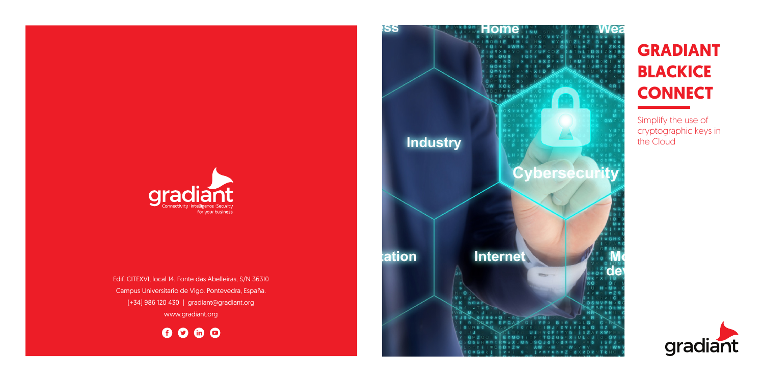

Edif. CITEXVI, local 14. Fonte das Abelleiras, S/N 36310 Campus Universitario de Vigo. Pontevedra, España. (+34) 986 120 430 | gradiant@gradiant.org www.gradiant.org

0000



# **GRADIANT BLACKICE CONNECT**

Simplify the use of cryptographic keys in the Cloud